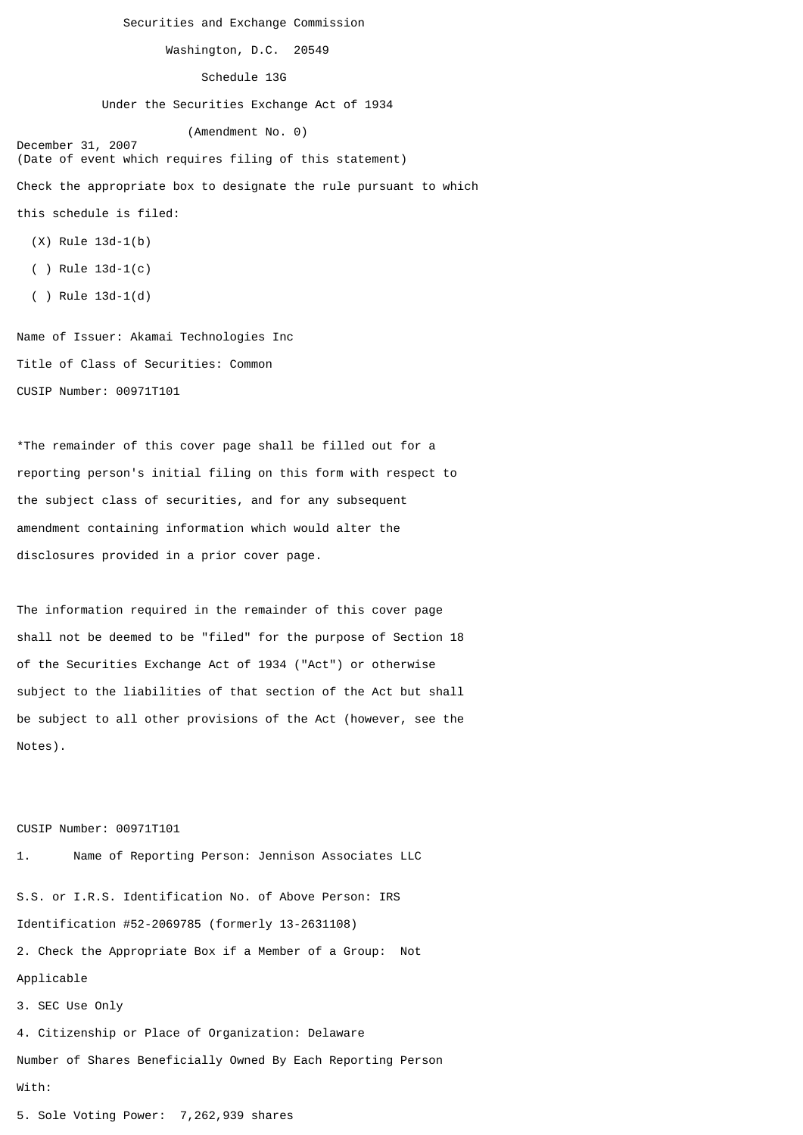Securities and Exchange Commission

Washington, D.C. 20549

Schedule 13G

Under the Securities Exchange Act of 1934

 (Amendment No. 0) December 31, 2007

(Date of event which requires filing of this statement) Check the appropriate box to designate the rule pursuant to which this schedule is filed:

- (X) Rule 13d-1(b)
- ( ) Rule 13d-1(c)
- ( ) Rule 13d-1(d)

Name of Issuer: Akamai Technologies Inc Title of Class of Securities: Common CUSIP Number: 00971T101

\*The remainder of this cover page shall be filled out for a reporting person's initial filing on this form with respect to the subject class of securities, and for any subsequent amendment containing information which would alter the disclosures provided in a prior cover page.

The information required in the remainder of this cover page shall not be deemed to be "filed" for the purpose of Section 18 of the Securities Exchange Act of 1934 ("Act") or otherwise subject to the liabilities of that section of the Act but shall be subject to all other provisions of the Act (however, see the Notes).

CUSIP Number: 00971T101

1. Name of Reporting Person: Jennison Associates LLC S.S. or I.R.S. Identification No. of Above Person: IRS Identification #52-2069785 (formerly 13-2631108) 2. Check the Appropriate Box if a Member of a Group: Not Applicable 3. SEC Use Only 4. Citizenship or Place of Organization: Delaware Number of Shares Beneficially Owned By Each Reporting Person With:

5. Sole Voting Power: 7,262,939 shares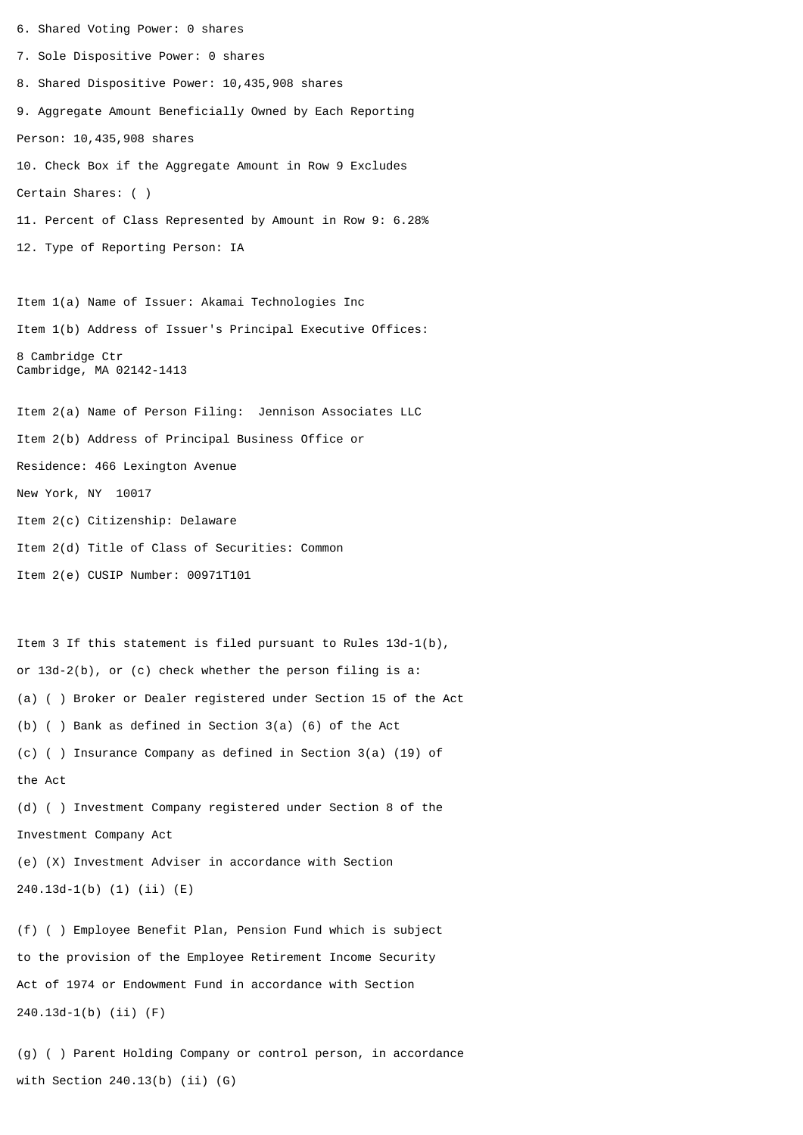6. Shared Voting Power: 0 shares 7. Sole Dispositive Power: 0 shares 8. Shared Dispositive Power: 10,435,908 shares 9. Aggregate Amount Beneficially Owned by Each Reporting Person: 10,435,908 shares 10. Check Box if the Aggregate Amount in Row 9 Excludes Certain Shares: ( ) 11. Percent of Class Represented by Amount in Row 9: 6.28% 12. Type of Reporting Person: IA Item 1(a) Name of Issuer: Akamai Technologies Inc Item 1(b) Address of Issuer's Principal Executive Offices: 8 Cambridge Ctr Cambridge, MA 02142-1413 Item 2(a) Name of Person Filing: Jennison Associates LLC Item 2(b) Address of Principal Business Office or Residence: 466 Lexington Avenue New York, NY 10017 Item 2(c) Citizenship: Delaware Item 2(d) Title of Class of Securities: Common Item 2(e) CUSIP Number: 00971T101 Item 3 If this statement is filed pursuant to Rules 13d-1(b), or 13d-2(b), or (c) check whether the person filing is a: (a) ( ) Broker or Dealer registered under Section 15 of the Act (b) ( ) Bank as defined in Section 3(a) (6) of the Act (c) ( ) Insurance Company as defined in Section 3(a) (19) of the Act (d) ( ) Investment Company registered under Section 8 of the Investment Company Act (e) (X) Investment Adviser in accordance with Section 240.13d-1(b) (1) (ii) (E) (f) ( ) Employee Benefit Plan, Pension Fund which is subject to the provision of the Employee Retirement Income Security

Act of 1974 or Endowment Fund in accordance with Section 240.13d-1(b) (ii) (F)

(g) ( ) Parent Holding Company or control person, in accordance with Section 240.13(b) (ii) (G)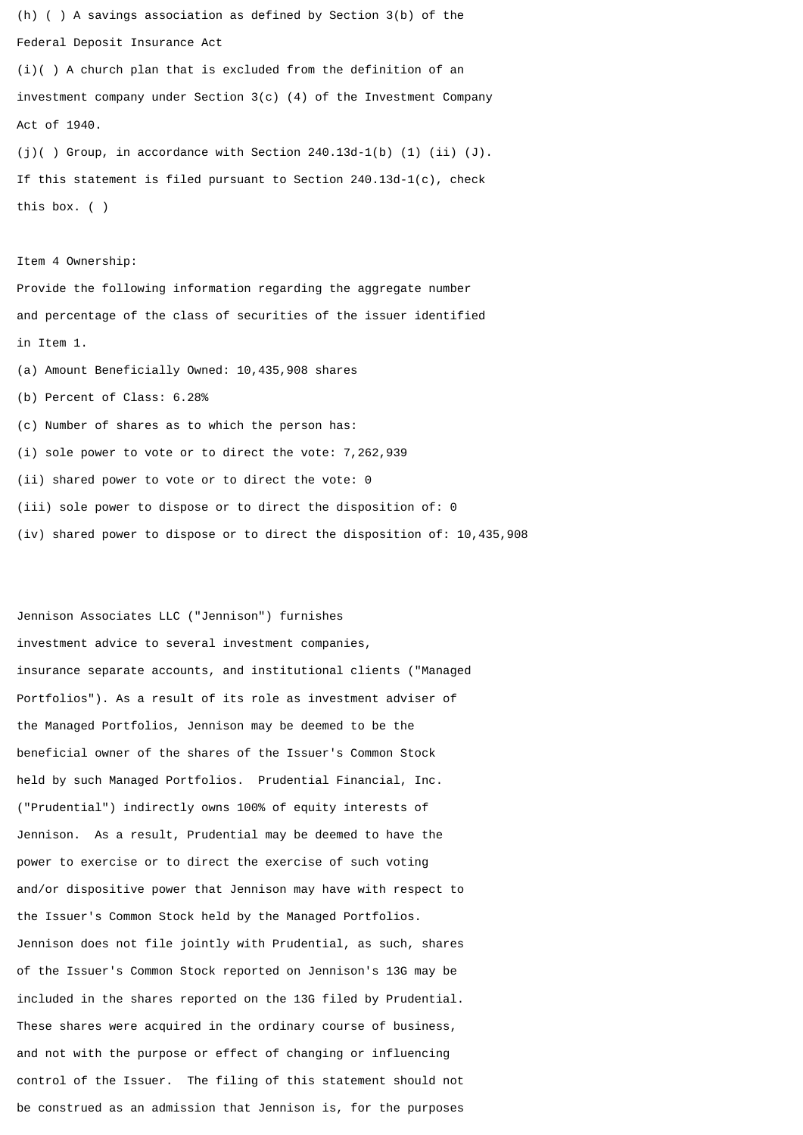(h) ( ) A savings association as defined by Section 3(b) of the Federal Deposit Insurance Act

(i)( ) A church plan that is excluded from the definition of an investment company under Section 3(c) (4) of the Investment Company Act of 1940.

(j)( ) Group, in accordance with Section  $240.13d-1(b)$  (1) (ii) (J). If this statement is filed pursuant to Section 240.13d-1(c), check this box. ( )

Item 4 Ownership:

Provide the following information regarding the aggregate number and percentage of the class of securities of the issuer identified in Item 1.

(a) Amount Beneficially Owned: 10,435,908 shares

(b) Percent of Class: 6.28%

(c) Number of shares as to which the person has:

(i) sole power to vote or to direct the vote: 7,262,939

(ii) shared power to vote or to direct the vote: 0

(iii) sole power to dispose or to direct the disposition of: 0

(iv) shared power to dispose or to direct the disposition of: 10,435,908

Jennison Associates LLC ("Jennison") furnishes investment advice to several investment companies, insurance separate accounts, and institutional clients ("Managed Portfolios"). As a result of its role as investment adviser of the Managed Portfolios, Jennison may be deemed to be the beneficial owner of the shares of the Issuer's Common Stock held by such Managed Portfolios. Prudential Financial, Inc. ("Prudential") indirectly owns 100% of equity interests of Jennison. As a result, Prudential may be deemed to have the power to exercise or to direct the exercise of such voting and/or dispositive power that Jennison may have with respect to the Issuer's Common Stock held by the Managed Portfolios. Jennison does not file jointly with Prudential, as such, shares of the Issuer's Common Stock reported on Jennison's 13G may be included in the shares reported on the 13G filed by Prudential. These shares were acquired in the ordinary course of business, and not with the purpose or effect of changing or influencing control of the Issuer. The filing of this statement should not be construed as an admission that Jennison is, for the purposes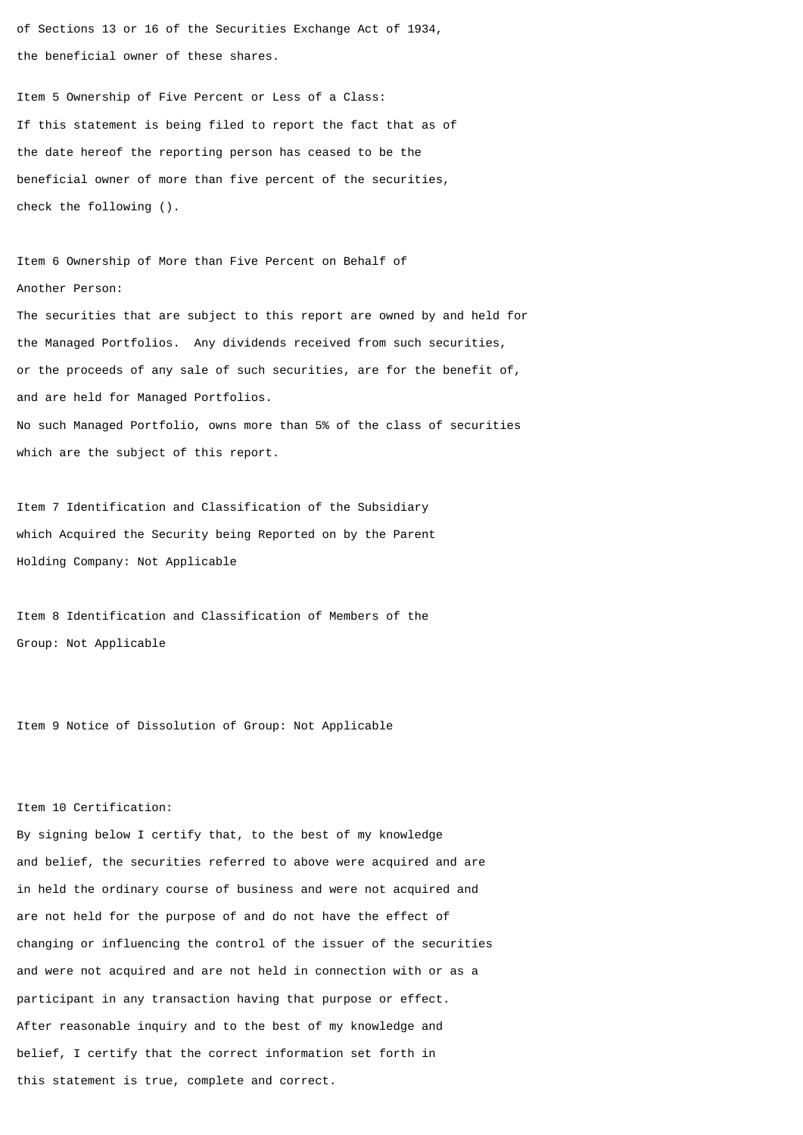of Sections 13 or 16 of the Securities Exchange Act of 1934, the beneficial owner of these shares.

Item 5 Ownership of Five Percent or Less of a Class: If this statement is being filed to report the fact that as of the date hereof the reporting person has ceased to be the beneficial owner of more than five percent of the securities, check the following ().

Item 6 Ownership of More than Five Percent on Behalf of Another Person: The securities that are subject to this report are owned by and held for the Managed Portfolios. Any dividends received from such securities, or the proceeds of any sale of such securities, are for the benefit of, and are held for Managed Portfolios. No such Managed Portfolio, owns more than 5% of the class of securities which are the subject of this report.

Item 7 Identification and Classification of the Subsidiary which Acquired the Security being Reported on by the Parent Holding Company: Not Applicable

Item 8 Identification and Classification of Members of the Group: Not Applicable

Item 9 Notice of Dissolution of Group: Not Applicable

## Item 10 Certification:

By signing below I certify that, to the best of my knowledge and belief, the securities referred to above were acquired and are in held the ordinary course of business and were not acquired and are not held for the purpose of and do not have the effect of changing or influencing the control of the issuer of the securities and were not acquired and are not held in connection with or as a participant in any transaction having that purpose or effect. After reasonable inquiry and to the best of my knowledge and belief, I certify that the correct information set forth in this statement is true, complete and correct.